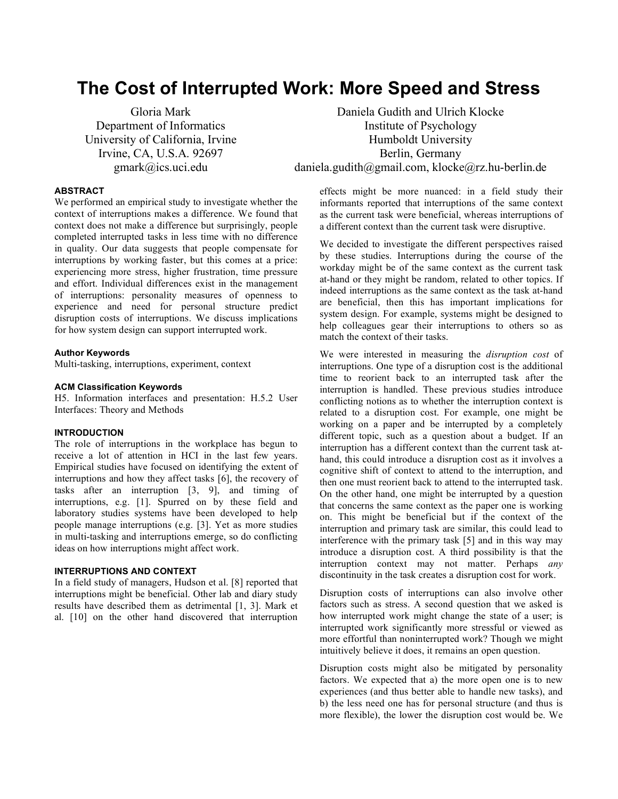# **The Cost of Interrupted Work: More Speed and Stress**

Gloria Mark Department of Informatics University of California, Irvine Irvine, CA, U.S.A. 92697 gmark@ics.uci.edu

Daniela Gudith and Ulrich Klocke Institute of Psychology Humboldt University Berlin, Germany daniela.gudith@gmail.com, klocke@rz.hu-berlin.de

## **ABSTRACT**

We performed an empirical study to investigate whether the context of interruptions makes a difference. We found that context does not make a difference but surprisingly, people completed interrupted tasks in less time with no difference in quality. Our data suggests that people compensate for interruptions by working faster, but this comes at a price: experiencing more stress, higher frustration, time pressure and effort. Individual differences exist in the management of interruptions: personality measures of openness to experience and need for personal structure predict disruption costs of interruptions. We discuss implications for how system design can support interrupted work.

#### **Author Keywords**

Multi-tasking, interruptions, experiment, context

#### **ACM Classification Keywords**

H5. Information interfaces and presentation: H.5.2 User Interfaces: Theory and Methods

## **INTRODUCTION**

The role of interruptions in the workplace has begun to receive a lot of attention in HCI in the last few years. Empirical studies have focused on identifying the extent of interruptions and how they affect tasks [6], the recovery of tasks after an interruption [3, 9], and timing of interruptions, e.g. [1]. Spurred on by these field and laboratory studies systems have been developed to help people manage interruptions (e.g. [3]. Yet as more studies in multi-tasking and interruptions emerge, so do conflicting ideas on how interruptions might affect work.

## **INTERRUPTIONS AND CONTEXT**

In a field study of managers, Hudson et al. [8] reported that interruptions might be beneficial. Other lab and diary study results have described them as detrimental [1, 3]. Mark et al. [10] on the other hand discovered that interruption

effects might be more nuanced: in a field study their informants reported that interruptions of the same context as the current task were beneficial, whereas interruptions of a different context than the current task were disruptive.

We decided to investigate the different perspectives raised by these studies. Interruptions during the course of the workday might be of the same context as the current task at-hand or they might be random, related to other topics. If indeed interruptions as the same context as the task at-hand are beneficial, then this has important implications for system design. For example, systems might be designed to help colleagues gear their interruptions to others so as match the context of their tasks.

We were interested in measuring the *disruption cost* of interruptions. One type of a disruption cost is the additional time to reorient back to an interrupted task after the interruption is handled. These previous studies introduce conflicting notions as to whether the interruption context is related to a disruption cost. For example, one might be working on a paper and be interrupted by a completely different topic, such as a question about a budget. If an interruption has a different context than the current task athand, this could introduce a disruption cost as it involves a cognitive shift of context to attend to the interruption, and then one must reorient back to attend to the interrupted task. On the other hand, one might be interrupted by a question that concerns the same context as the paper one is working on. This might be beneficial but if the context of the interruption and primary task are similar, this could lead to interference with the primary task [5] and in this way may introduce a disruption cost. A third possibility is that the interruption context may not matter. Perhaps *any* discontinuity in the task creates a disruption cost for work.

Disruption costs of interruptions can also involve other factors such as stress. A second question that we asked is how interrupted work might change the state of a user; is interrupted work significantly more stressful or viewed as more effortful than noninterrupted work? Though we might intuitively believe it does, it remains an open question.

Disruption costs might also be mitigated by personality factors. We expected that a) the more open one is to new experiences (and thus better able to handle new tasks), and b) the less need one has for personal structure (and thus is more flexible), the lower the disruption cost would be. We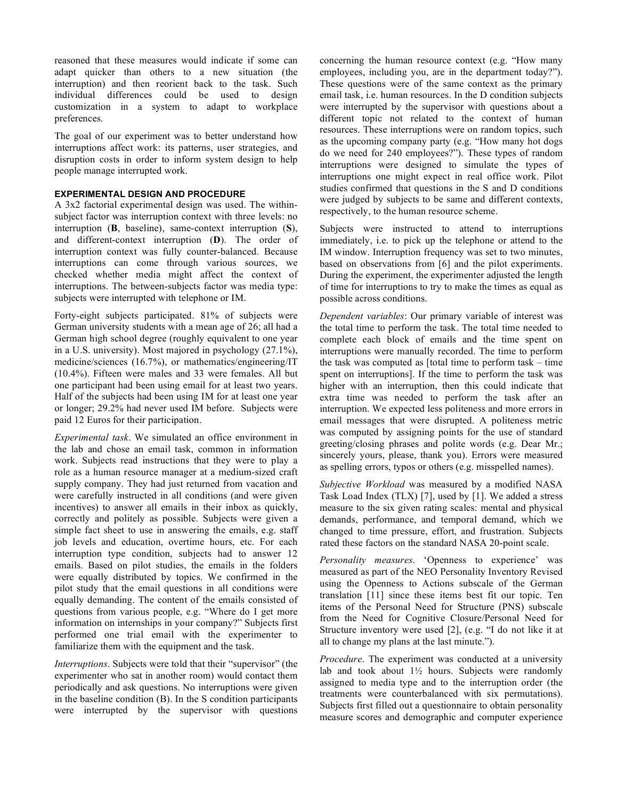reasoned that these measures would indicate if some can adapt quicker than others to a new situation (the interruption) and then reorient back to the task. Such individual differences could be used to design customization in a system to adapt to workplace preferences.

The goal of our experiment was to better understand how interruptions affect work: its patterns, user strategies, and disruption costs in order to inform system design to help people manage interrupted work.

## **EXPERIMENTAL DESIGN AND PROCEDURE**

A 3x2 factorial experimental design was used. The withinsubject factor was interruption context with three levels: no interruption (**B**, baseline), same-context interruption (**S**), and different-context interruption (**D**). The order of interruption context was fully counter-balanced. Because interruptions can come through various sources, we checked whether media might affect the context of interruptions. The between-subjects factor was media type: subjects were interrupted with telephone or IM.

Forty-eight subjects participated. 81% of subjects were German university students with a mean age of 26; all had a German high school degree (roughly equivalent to one year in a U.S. university). Most majored in psychology (27.1%), medicine/sciences (16.7%), or mathematics/engineering/IT (10.4%). Fifteen were males and 33 were females. All but one participant had been using email for at least two years. Half of the subjects had been using IM for at least one year or longer; 29.2% had never used IM before. Subjects were paid 12 Euros for their participation.

*Experimental task*. We simulated an office environment in the lab and chose an email task, common in information work. Subjects read instructions that they were to play a role as a human resource manager at a medium-sized craft supply company. They had just returned from vacation and were carefully instructed in all conditions (and were given incentives) to answer all emails in their inbox as quickly, correctly and politely as possible. Subjects were given a simple fact sheet to use in answering the emails, e.g. staff job levels and education, overtime hours, etc. For each interruption type condition, subjects had to answer 12 emails. Based on pilot studies, the emails in the folders were equally distributed by topics. We confirmed in the pilot study that the email questions in all conditions were equally demanding. The content of the emails consisted of questions from various people, e.g. "Where do I get more information on internships in your company?" Subjects first performed one trial email with the experimenter to familiarize them with the equipment and the task.

*Interruptions*. Subjects were told that their "supervisor" (the experimenter who sat in another room) would contact them periodically and ask questions. No interruptions were given in the baseline condition (B). In the S condition participants were interrupted by the supervisor with questions

concerning the human resource context (e.g. "How many employees, including you, are in the department today?"). These questions were of the same context as the primary email task, i.e. human resources. In the D condition subjects were interrupted by the supervisor with questions about a different topic not related to the context of human resources. These interruptions were on random topics, such as the upcoming company party (e.g. "How many hot dogs do we need for 240 employees?"). These types of random interruptions were designed to simulate the types of interruptions one might expect in real office work. Pilot studies confirmed that questions in the S and D conditions were judged by subjects to be same and different contexts, respectively, to the human resource scheme.

Subjects were instructed to attend to interruptions immediately, i.e. to pick up the telephone or attend to the IM window. Interruption frequency was set to two minutes, based on observations from [6] and the pilot experiments. During the experiment, the experimenter adjusted the length of time for interruptions to try to make the times as equal as possible across conditions.

*Dependent variables*: Our primary variable of interest was the total time to perform the task. The total time needed to complete each block of emails and the time spent on interruptions were manually recorded. The time to perform the task was computed as [total time to perform task – time spent on interruptions]. If the time to perform the task was higher with an interruption, then this could indicate that extra time was needed to perform the task after an interruption. We expected less politeness and more errors in email messages that were disrupted. A politeness metric was computed by assigning points for the use of standard greeting/closing phrases and polite words (e.g. Dear Mr.; sincerely yours, please, thank you). Errors were measured as spelling errors, typos or others (e.g. misspelled names).

*Subjective Workload* was measured by a modified NASA Task Load Index (TLX) [7], used by [1]. We added a stress measure to the six given rating scales: mental and physical demands, performance, and temporal demand, which we changed to time pressure, effort, and frustration. Subjects rated these factors on the standard NASA 20-point scale.

*Personality measures*. 'Openness to experience' was measured as part of the NEO Personality Inventory Revised using the Openness to Actions subscale of the German translation [11] since these items best fit our topic. Ten items of the Personal Need for Structure (PNS) subscale from the Need for Cognitive Closure/Personal Need for Structure inventory were used [2], (e.g. "I do not like it at all to change my plans at the last minute.").

*Procedure*. The experiment was conducted at a university lab and took about  $1\frac{1}{2}$  hours. Subjects were randomly assigned to media type and to the interruption order (the treatments were counterbalanced with six permutations). Subjects first filled out a questionnaire to obtain personality measure scores and demographic and computer experience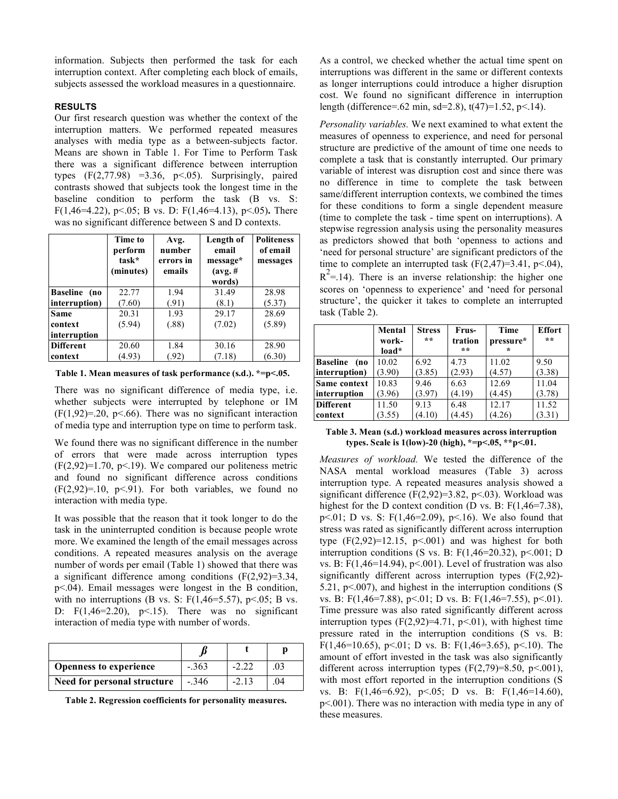information. Subjects then performed the task for each interruption context. After completing each block of emails, subjects assessed the workload measures in a questionnaire.

## **RESULTS**

Our first research question was whether the context of the interruption matters. We performed repeated measures analyses with media type as a between-subjects factor. Means are shown in Table 1. For Time to Perform Task there was a significant difference between interruption types  $(F(2,77.98) = 3.36, p<0.05)$ . Surprisingly, paired contrasts showed that subjects took the longest time in the baseline condition to perform the task (B vs. S: F(1,46=4.22), p<.05; B vs. D: F(1,46=4.13), p<.05)**.** There was no significant difference between S and D contexts.

|                  | Time to<br>perform<br>task*<br>(minutes) | Avg.<br>number<br>errors in<br>emails | Length of<br>email<br>message*<br>$(avg. \#$<br>words) | <b>Politeness</b><br>of email<br>messages |
|------------------|------------------------------------------|---------------------------------------|--------------------------------------------------------|-------------------------------------------|
| Baseline (no     | 22.77                                    | 1.94                                  | 31.49                                                  | 28.98                                     |
| interruption)    | (7.60)                                   | (.91)                                 | (8.1)                                                  | (5.37)                                    |
| <b>Same</b>      | 20.31                                    | 1.93                                  | 29.17                                                  | 28.69                                     |
| context          | (5.94)                                   | (.88)                                 | (7.02)                                                 | (5.89)                                    |
| interruption     |                                          |                                       |                                                        |                                           |
| <b>Different</b> | 20.60                                    | 1.84                                  | 30.16                                                  | 28.90                                     |
| context          | (4.93)                                   | (.92)                                 | (7.18)                                                 | (6.30)                                    |

**Table 1. Mean measures of task performance (s.d.). \*=p<.05.**

There was no significant difference of media type, i.e. whether subjects were interrupted by telephone or IM  $(F(1, 92)=0.20, p<.66)$ . There was no significant interaction of media type and interruption type on time to perform task.

We found there was no significant difference in the number of errors that were made across interruption types  $(F(2,92)=1.70, p<19)$ . We compared our politeness metric and found no significant difference across conditions  $(F(2,92)=.10, p<.91)$ . For both variables, we found no interaction with media type.

It was possible that the reason that it took longer to do the task in the uninterrupted condition is because people wrote more. We examined the length of the email messages across conditions. A repeated measures analysis on the average number of words per email (Table 1) showed that there was a significant difference among conditions  $(F(2,92)=3.34)$ , p<.04). Email messages were longest in the B condition, with no interruptions (B vs. S:  $F(1,46=5.57)$ , p<.05; B vs. D:  $F(1,46=2.20)$ ,  $p<.15$ ). There was no significant interaction of media type with number of words.

| <b>Openness to experience</b> | $-.363$ | $-2.22$ | 03 |
|-------------------------------|---------|---------|----|
| Need for personal structure   | $-.346$ | $-2.13$ | 04 |

**Table 2. Regression coefficients for personality measures.**

As a control, we checked whether the actual time spent on interruptions was different in the same or different contexts as longer interruptions could introduce a higher disruption cost. We found no significant difference in interruption length (difference=.62 min, sd=2.8),  $t(47)=1.52$ ,  $p<14$ ).

*Personality variables.* We next examined to what extent the measures of openness to experience, and need for personal structure are predictive of the amount of time one needs to complete a task that is constantly interrupted. Our primary variable of interest was disruption cost and since there was no difference in time to complete the task between same/different interruption contexts, we combined the times for these conditions to form a single dependent measure (time to complete the task - time spent on interruptions). A stepwise regression analysis using the personality measures as predictors showed that both 'openness to actions and 'need for personal structure' are significant predictors of the time to complete an interrupted task  $(F(2,47)=3.41, p<0.04)$ ,  $R^2$ =.14). There is an inverse relationship: the higher one scores on 'openness to experience' and 'need for personal structure', the quicker it takes to complete an interrupted task (Table 2).

|                        | Mental<br>work- | <b>Stress</b><br>** | Frus-<br>tration | Time<br>pressure* | <b>Effort</b><br>** |
|------------------------|-----------------|---------------------|------------------|-------------------|---------------------|
|                        | load*           |                     | **               |                   |                     |
| <b>Baseline</b><br>(no | 10.02           | 6.92                | 4.73             | 11.02             | 9.50                |
| interruption)          | (3.90)          | (3.85)              | (2.93)           | (4.57)            | (3.38)              |
| Same context           | 10.83           | 9.46                | 6.63             | 12.69             | 11.04               |
| interruption           | (3.96)          | (3.97)              | (4.19)           | (4.45)            | (3.78)              |
| <b>Different</b>       | 11.50           | 9.13                | 6.48             | 12.17             | 11.52               |
| context                | (3.55)          | (4.10)              | (4.45)           | (4.26)            | (3.31)              |

### **Table 3. Mean (s.d.) workload measures across interruption types. Scale is 1(low)-20 (high), \*=p<.05, \*\*p<.01.**

*Measures of workload.* We tested the difference of the NASA mental workload measures (Table 3) across interruption type. A repeated measures analysis showed a significant difference (F(2,92)=3.82, p <. 03). Workload was highest for the D context condition (D vs. B: F(1,46=7.38), p<.01; D vs. S: F(1,46=2.09), p<.16). We also found that stress was rated as significantly different across interruption type  $(F(2, 92)=12.15, p<0.001)$  and was highest for both interruption conditions (S vs. B:  $F(1,46=20.32)$ , p<.001; D vs. B:  $F(1,46=14.94)$ ,  $p<.001$ ). Level of frustration was also significantly different across interruption types (F(2,92)- 5.21,  $p<.007$ ), and highest in the interruption conditions (S vs. B: F(1,46=7.88), p<.01; D vs. B: F(1,46=7.55), p<.01). Time pressure was also rated significantly different across interruption types  $(F(2, 92)=4.71, p<0.01)$ , with highest time pressure rated in the interruption conditions (S vs. B: F(1,46=10.65), p<.01; D vs. B: F(1,46=3.65), p<.10). The amount of effort invested in the task was also significantly different across interruption types  $(F(2,79)=8.50, p<0.01)$ , with most effort reported in the interruption conditions (S vs. B: F(1,46=6.92), p<.05; D vs. B: F(1,46=14.60), p<.001). There was no interaction with media type in any of these measures.